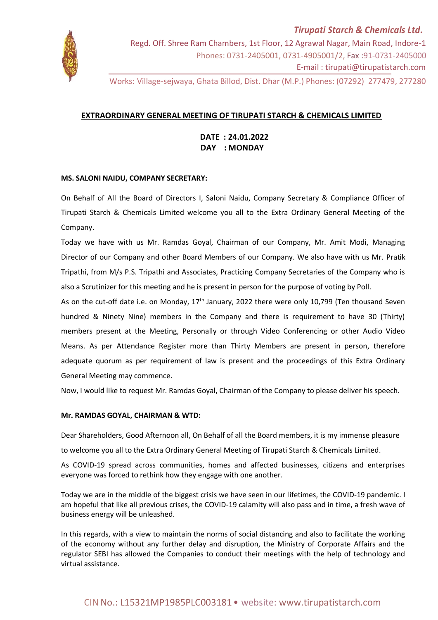

Works: Village-sejwaya, Ghata Billod, Dist. Dhar (M.P.) Phones: (07292) 277479, 277280

## **EXTRAORDINARY GENERAL MEETING OF TIRUPATI STARCH & CHEMICALS LIMITED**

 **DATE : 24.01.2022 DAY : MONDAY**

## **MS. SALONI NAIDU, COMPANY SECRETARY:**

On Behalf of All the Board of Directors I, Saloni Naidu, Company Secretary & Compliance Officer of Tirupati Starch & Chemicals Limited welcome you all to the Extra Ordinary General Meeting of the Company.

Today we have with us Mr. Ramdas Goyal, Chairman of our Company, Mr. Amit Modi, Managing Director of our Company and other Board Members of our Company. We also have with us Mr. Pratik Tripathi, from M/s P.S. Tripathi and Associates, Practicing Company Secretaries of the Company who is also a Scrutinizer for this meeting and he is present in person for the purpose of voting by Poll.

As on the cut-off date i.e. on Monday, 17<sup>th</sup> January, 2022 there were only 10,799 (Ten thousand Seven hundred & Ninety Nine) members in the Company and there is requirement to have 30 (Thirty) members present at the Meeting, Personally or through Video Conferencing or other Audio Video Means. As per Attendance Register more than Thirty Members are present in person, therefore adequate quorum as per requirement of law is present and the proceedings of this Extra Ordinary General Meeting may commence.

Now, I would like to request Mr. Ramdas Goyal, Chairman of the Company to please deliver his speech.

## **Mr. RAMDAS GOYAL, CHAIRMAN & WTD:**

Dear Shareholders, Good Afternoon all, On Behalf of all the Board members, it is my immense pleasure

to welcome you all to the Extra Ordinary General Meeting of Tirupati Starch & Chemicals Limited.

As COVID-19 spread across communities, homes and affected businesses, citizens and enterprises everyone was forced to rethink how they engage with one another.

Today we are in the middle of the biggest crisis we have seen in our lifetimes, the COVID-19 pandemic. I am hopeful that like all previous crises, the COVID-19 calamity will also pass and in time, a fresh wave of business energy will be unleashed.

In this regards, with a view to maintain the norms of social distancing and also to facilitate the working of the economy without any further delay and disruption, the Ministry of Corporate Affairs and the regulator SEBI has allowed the Companies to conduct their meetings with the help of technology and virtual assistance.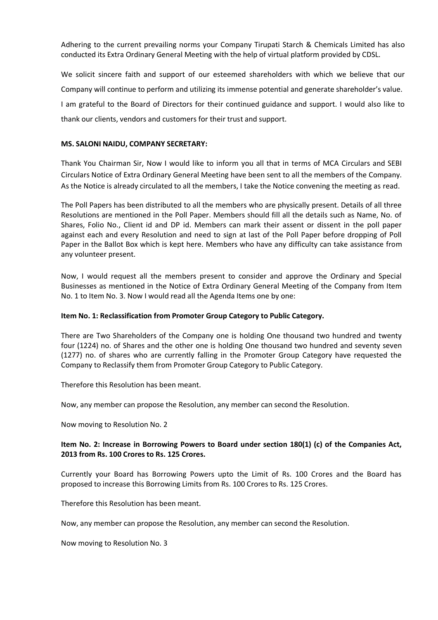Adhering to the current prevailing norms your Company Tirupati Starch & Chemicals Limited has also conducted its Extra Ordinary General Meeting with the help of virtual platform provided by CDSL.

We solicit sincere faith and support of our esteemed shareholders with which we believe that our Company will continue to perform and utilizing its immense potential and generate shareholder's value. I am grateful to the Board of Directors for their continued guidance and support. I would also like to thank our clients, vendors and customers for their trust and support.

## **MS. SALONI NAIDU, COMPANY SECRETARY:**

Thank You Chairman Sir, Now I would like to inform you all that in terms of MCA Circulars and SEBI Circulars Notice of Extra Ordinary General Meeting have been sent to all the members of the Company. As the Notice is already circulated to all the members, I take the Notice convening the meeting as read.

The Poll Papers has been distributed to all the members who are physically present. Details of all three Resolutions are mentioned in the Poll Paper. Members should fill all the details such as Name, No. of Shares, Folio No., Client id and DP id. Members can mark their assent or dissent in the poll paper against each and every Resolution and need to sign at last of the Poll Paper before dropping of Poll Paper in the Ballot Box which is kept here. Members who have any difficulty can take assistance from any volunteer present.

Now, I would request all the members present to consider and approve the Ordinary and Special Businesses as mentioned in the Notice of Extra Ordinary General Meeting of the Company from Item No. 1 to Item No. 3. Now I would read all the Agenda Items one by one:

## **Item No. 1: Reclassification from Promoter Group Category to Public Category.**

There are Two Shareholders of the Company one is holding One thousand two hundred and twenty four (1224) no. of Shares and the other one is holding One thousand two hundred and seventy seven (1277) no. of shares who are currently falling in the Promoter Group Category have requested the Company to Reclassify them from Promoter Group Category to Public Category.

Therefore this Resolution has been meant.

Now, any member can propose the Resolution, any member can second the Resolution.

Now moving to Resolution No. 2

## **Item No. 2: Increase in Borrowing Powers to Board under section 180(1) (c) of the Companies Act, 2013 from Rs. 100 Crores to Rs. 125 Crores.**

Currently your Board has Borrowing Powers upto the Limit of Rs. 100 Crores and the Board has proposed to increase this Borrowing Limits from Rs. 100 Crores to Rs. 125 Crores.

Therefore this Resolution has been meant.

Now, any member can propose the Resolution, any member can second the Resolution.

Now moving to Resolution No. 3